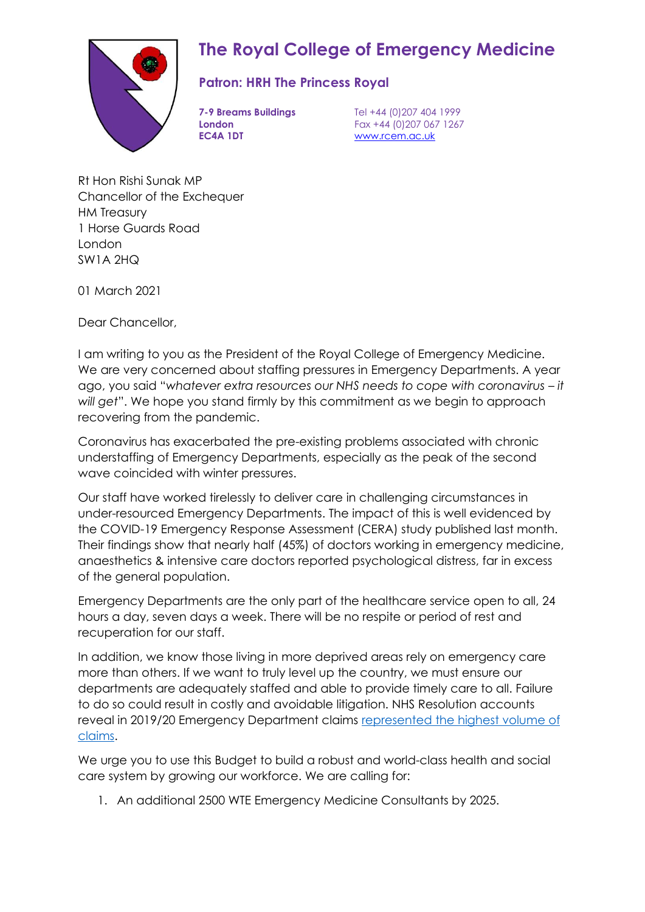

## **The Royal College of Emergency Medicine**

## **Patron: HRH The Princess Royal**

**EC4A 1DT** www.rcem.ac.uk

**7-9 Breams Buildings** Tel +44 (0)207 404 1999 **London** Fax +44 (0)207 067 1267

Rt Hon Rishi Sunak MP Chancellor of the Exchequer HM Treasury 1 Horse Guards Road London SW1A 2HQ

01 March 2021

Dear Chancellor,

I am writing to you as the President of the Royal College of Emergency Medicine. We are very concerned about staffing pressures in Emergency Departments. A year ago, you said "whatever extra resources our NHS needs to cope with coronavirus - it *will get*". We hope you stand firmly by this commitment as we begin to approach recovering from the pandemic.

Coronavirus has exacerbated the pre-existing problems associated with chronic understaffing of Emergency Departments, especially as the peak of the second wave coincided with winter pressures.

Our staff have worked tirelessly to deliver care in challenging circumstances in under-resourced Emergency Departments. The impact of this is well evidenced by the COVID-19 Emergency Response Assessment (CERA) study published last month. Their findings show that nearly half (45%) of doctors working in emergency medicine, anaesthetics & intensive care doctors reported psychological distress, far in excess of the general population.

Emergency Departments are the only part of the healthcare service open to all, 24 hours a day, seven days a week. There will be no respite or period of rest and recuperation for our staff.

In addition, we know those living in more deprived areas rely on emergency care more than others. If we want to truly level up the country, we must ensure our departments are adequately staffed and able to provide timely care to all. Failure to do so could result in costly and avoidable litigation. NHS Resolution accounts reveal in 2019/20 Emergency Department claims [represented the highest volume of](https://resolution.nhs.uk/wp-content/uploads/2020/07/NHS-Resolution-2019_20-Annual-report-and-accounts-WEB.pdf)  [claims.](https://resolution.nhs.uk/wp-content/uploads/2020/07/NHS-Resolution-2019_20-Annual-report-and-accounts-WEB.pdf)

We urge you to use this Budget to build a robust and world-class health and social care system by growing our workforce. We are calling for:

1. An additional 2500 WTE Emergency Medicine Consultants by 2025.